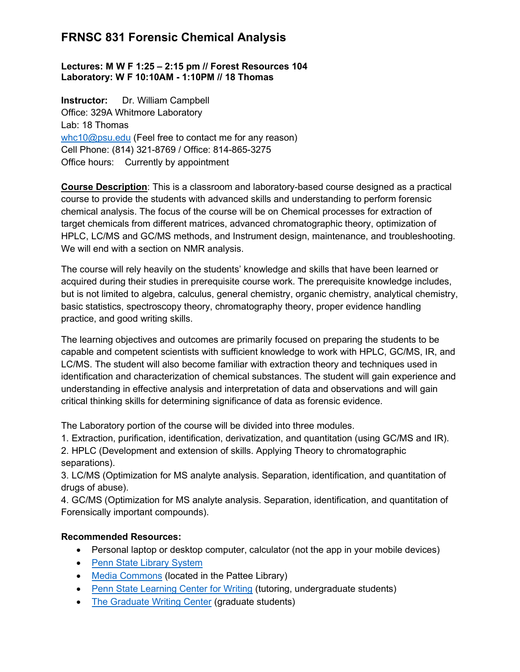#### Lectures: M W F 1:25 – 2:15 pm // Forest Resources 104 Laboratory: W F 10:10AM - 1:10PM // 18 Thomas

Instructor: Dr. William Campbell Office: 329A Whitmore Laboratory Lab: 18 Thomas whc10@psu.edu (Feel free to contact me for any reason) Cell Phone: (814) 321-8769 / Office: 814-865-3275 Office hours: Currently by appointment

Course Description: This is a classroom and laboratory-based course designed as a practical course to provide the students with advanced skills and understanding to perform forensic chemical analysis. The focus of the course will be on Chemical processes for extraction of target chemicals from different matrices, advanced chromatographic theory, optimization of HPLC, LC/MS and GC/MS methods, and Instrument design, maintenance, and troubleshooting. We will end with a section on NMR analysis.

The course will rely heavily on the students' knowledge and skills that have been learned or acquired during their studies in prerequisite course work. The prerequisite knowledge includes, but is not limited to algebra, calculus, general chemistry, organic chemistry, analytical chemistry, basic statistics, spectroscopy theory, chromatography theory, proper evidence handling practice, and good writing skills.

The learning objectives and outcomes are primarily focused on preparing the students to be capable and competent scientists with sufficient knowledge to work with HPLC, GC/MS, IR, and LC/MS. The student will also become familiar with extraction theory and techniques used in identification and characterization of chemical substances. The student will gain experience and understanding in effective analysis and interpretation of data and observations and will gain critical thinking skills for determining significance of data as forensic evidence.

The Laboratory portion of the course will be divided into three modules.

1. Extraction, purification, identification, derivatization, and quantitation (using GC/MS and IR).

2. HPLC (Development and extension of skills. Applying Theory to chromatographic separations).

3. LC/MS (Optimization for MS analyte analysis. Separation, identification, and quantitation of drugs of abuse).

4. GC/MS (Optimization for MS analyte analysis. Separation, identification, and quantitation of Forensically important compounds).

## Recommended Resources:

- Personal laptop or desktop computer, calculator (not the app in your mobile devices)
- Penn State Library System
- Media Commons (located in the Pattee Library)
- Penn State Learning Center for Writing (tutoring, undergraduate students)
- The Graduate Writing Center (graduate students)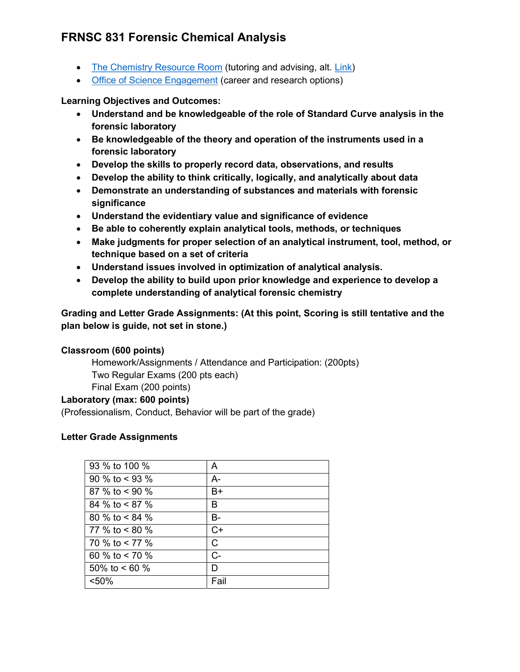- The Chemistry Resource Room (tutoring and advising, alt. Link)
- Office of Science Engagement (career and research options)

Learning Objectives and Outcomes:

- Understand and be knowledgeable of the role of Standard Curve analysis in the forensic laboratory
- Be knowledgeable of the theory and operation of the instruments used in a forensic laboratory
- Develop the skills to properly record data, observations, and results
- Develop the ability to think critically, logically, and analytically about data
- Demonstrate an understanding of substances and materials with forensic significance
- Understand the evidentiary value and significance of evidence
- Be able to coherently explain analytical tools, methods, or techniques
- Make judgments for proper selection of an analytical instrument, tool, method, or technique based on a set of criteria
- Understand issues involved in optimization of analytical analysis.
- Develop the ability to build upon prior knowledge and experience to develop a complete understanding of analytical forensic chemistry

Grading and Letter Grade Assignments: (At this point, Scoring is still tentative and the plan below is guide, not set in stone.)

## Classroom (600 points)

Homework/Assignments / Attendance and Participation: (200pts) Two Regular Exams (200 pts each) Final Exam (200 points)

#### Laboratory (max: 600 points)

(Professionalism, Conduct, Behavior will be part of the grade)

## Letter Grade Assignments

| 93 % to 100 %    | A     |
|------------------|-------|
| 90 % to $<$ 93 % | A-    |
| 87 % to $< 90$ % | B+    |
| 84 % to < 87 %   | В     |
| 80 % to $< 84$ % | B-    |
| 77 % to $< 80$ % | $C+$  |
| 70 % to < 77 %   | С     |
| 60 % to $<$ 70 % | $C -$ |
| 50% to < 60 %    | D     |
| < 50%            | Fail  |
|                  |       |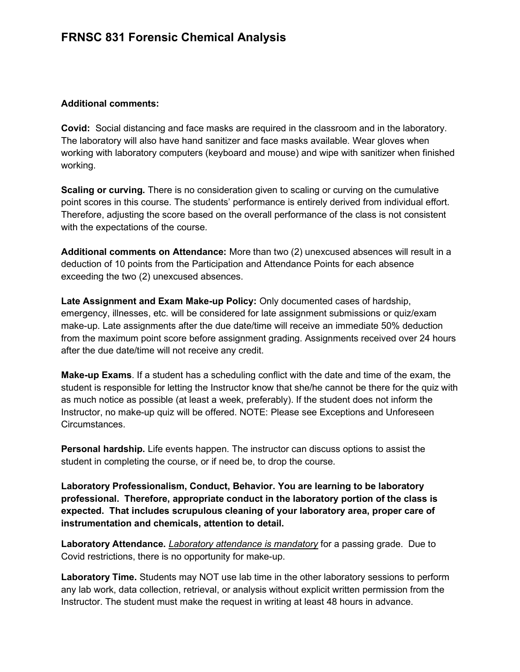#### Additional comments:

Covid: Social distancing and face masks are required in the classroom and in the laboratory. The laboratory will also have hand sanitizer and face masks available. Wear gloves when working with laboratory computers (keyboard and mouse) and wipe with sanitizer when finished working.

Scaling or curving. There is no consideration given to scaling or curving on the cumulative point scores in this course. The students' performance is entirely derived from individual effort. Therefore, adjusting the score based on the overall performance of the class is not consistent with the expectations of the course.

Additional comments on Attendance: More than two (2) unexcused absences will result in a deduction of 10 points from the Participation and Attendance Points for each absence exceeding the two (2) unexcused absences.

Late Assignment and Exam Make-up Policy: Only documented cases of hardship, emergency, illnesses, etc. will be considered for late assignment submissions or quiz/exam make-up. Late assignments after the due date/time will receive an immediate 50% deduction from the maximum point score before assignment grading. Assignments received over 24 hours after the due date/time will not receive any credit.

Make-up Exams. If a student has a scheduling conflict with the date and time of the exam, the student is responsible for letting the Instructor know that she/he cannot be there for the quiz with as much notice as possible (at least a week, preferably). If the student does not inform the Instructor, no make-up quiz will be offered. NOTE: Please see Exceptions and Unforeseen Circumstances.

Personal hardship. Life events happen. The instructor can discuss options to assist the student in completing the course, or if need be, to drop the course.

Laboratory Professionalism, Conduct, Behavior. You are learning to be laboratory professional. Therefore, appropriate conduct in the laboratory portion of the class is expected. That includes scrupulous cleaning of your laboratory area, proper care of instrumentation and chemicals, attention to detail.

Laboratory Attendance. Laboratory attendance is mandatory for a passing grade. Due to Covid restrictions, there is no opportunity for make-up.

Laboratory Time. Students may NOT use lab time in the other laboratory sessions to perform any lab work, data collection, retrieval, or analysis without explicit written permission from the Instructor. The student must make the request in writing at least 48 hours in advance.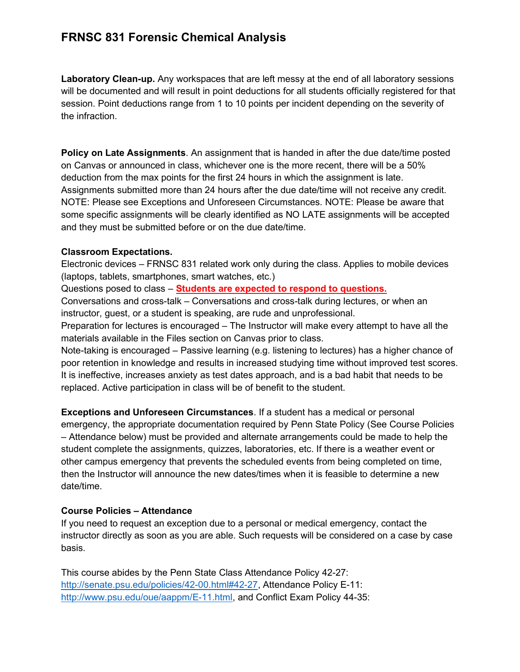Laboratory Clean-up. Any workspaces that are left messy at the end of all laboratory sessions will be documented and will result in point deductions for all students officially registered for that session. Point deductions range from 1 to 10 points per incident depending on the severity of the infraction.

Policy on Late Assignments. An assignment that is handed in after the due date/time posted on Canvas or announced in class, whichever one is the more recent, there will be a 50% deduction from the max points for the first 24 hours in which the assignment is late. Assignments submitted more than 24 hours after the due date/time will not receive any credit. NOTE: Please see Exceptions and Unforeseen Circumstances. NOTE: Please be aware that some specific assignments will be clearly identified as NO LATE assignments will be accepted and they must be submitted before or on the due date/time.

#### Classroom Expectations.

Electronic devices – FRNSC 831 related work only during the class. Applies to mobile devices (laptops, tablets, smartphones, smart watches, etc.)

Questions posed to class – Students are expected to respond to questions.

Conversations and cross-talk – Conversations and cross-talk during lectures, or when an instructor, guest, or a student is speaking, are rude and unprofessional.

Preparation for lectures is encouraged – The Instructor will make every attempt to have all the materials available in the Files section on Canvas prior to class.

Note-taking is encouraged – Passive learning (e.g. listening to lectures) has a higher chance of poor retention in knowledge and results in increased studying time without improved test scores. It is ineffective, increases anxiety as test dates approach, and is a bad habit that needs to be replaced. Active participation in class will be of benefit to the student.

Exceptions and Unforeseen Circumstances. If a student has a medical or personal emergency, the appropriate documentation required by Penn State Policy (See Course Policies – Attendance below) must be provided and alternate arrangements could be made to help the student complete the assignments, quizzes, laboratories, etc. If there is a weather event or other campus emergency that prevents the scheduled events from being completed on time, then the Instructor will announce the new dates/times when it is feasible to determine a new date/time.

#### Course Policies – Attendance

If you need to request an exception due to a personal or medical emergency, contact the instructor directly as soon as you are able. Such requests will be considered on a case by case basis.

This course abides by the Penn State Class Attendance Policy 42-27: http://senate.psu.edu/policies/42-00.html#42-27, Attendance Policy E-11: http://www.psu.edu/oue/aappm/E-11.html, and Conflict Exam Policy 44-35: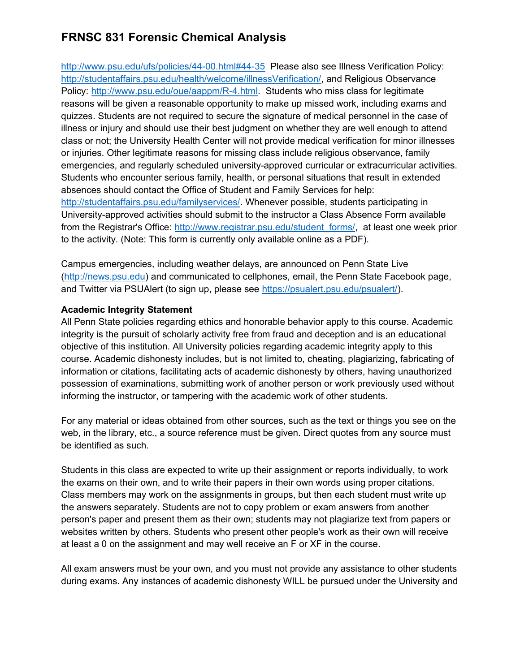http://www.psu.edu/ufs/policies/44-00.html#44-35 Please also see Illness Verification Policy: http://studentaffairs.psu.edu/health/welcome/illnessVerification/, and Religious Observance Policy: http://www.psu.edu/oue/aappm/R-4.html. Students who miss class for legitimate reasons will be given a reasonable opportunity to make up missed work, including exams and quizzes. Students are not required to secure the signature of medical personnel in the case of illness or injury and should use their best judgment on whether they are well enough to attend class or not; the University Health Center will not provide medical verification for minor illnesses or injuries. Other legitimate reasons for missing class include religious observance, family emergencies, and regularly scheduled university-approved curricular or extracurricular activities. Students who encounter serious family, health, or personal situations that result in extended absences should contact the Office of Student and Family Services for help: http://studentaffairs.psu.edu/familyservices/. Whenever possible, students participating in University-approved activities should submit to the instructor a Class Absence Form available from the Registrar's Office: http://www.registrar.psu.edu/student\_forms/, at least one week prior to the activity. (Note: This form is currently only available online as a PDF).

Campus emergencies, including weather delays, are announced on Penn State Live (http://news.psu.edu) and communicated to cellphones, email, the Penn State Facebook page, and Twitter via PSUAlert (to sign up, please see https://psualert.psu.edu/psualert/).

#### Academic Integrity Statement

All Penn State policies regarding ethics and honorable behavior apply to this course. Academic integrity is the pursuit of scholarly activity free from fraud and deception and is an educational objective of this institution. All University policies regarding academic integrity apply to this course. Academic dishonesty includes, but is not limited to, cheating, plagiarizing, fabricating of information or citations, facilitating acts of academic dishonesty by others, having unauthorized possession of examinations, submitting work of another person or work previously used without informing the instructor, or tampering with the academic work of other students.

For any material or ideas obtained from other sources, such as the text or things you see on the web, in the library, etc., a source reference must be given. Direct quotes from any source must be identified as such.

Students in this class are expected to write up their assignment or reports individually, to work the exams on their own, and to write their papers in their own words using proper citations. Class members may work on the assignments in groups, but then each student must write up the answers separately. Students are not to copy problem or exam answers from another person's paper and present them as their own; students may not plagiarize text from papers or websites written by others. Students who present other people's work as their own will receive at least a 0 on the assignment and may well receive an F or XF in the course.

All exam answers must be your own, and you must not provide any assistance to other students during exams. Any instances of academic dishonesty WILL be pursued under the University and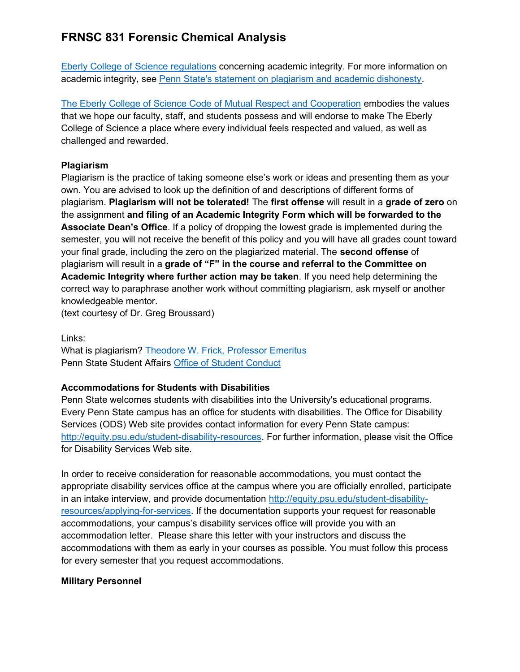Eberly College of Science regulations concerning academic integrity. For more information on academic integrity, see Penn State's statement on plagiarism and academic dishonesty.

The Eberly College of Science Code of Mutual Respect and Cooperation embodies the values that we hope our faculty, staff, and students possess and will endorse to make The Eberly College of Science a place where every individual feels respected and valued, as well as challenged and rewarded.

## **Plagiarism**

Plagiarism is the practice of taking someone else's work or ideas and presenting them as your own. You are advised to look up the definition of and descriptions of different forms of plagiarism. Plagiarism will not be tolerated! The first offense will result in a grade of zero on the assignment and filing of an Academic Integrity Form which will be forwarded to the Associate Dean's Office. If a policy of dropping the lowest grade is implemented during the semester, you will not receive the benefit of this policy and you will have all grades count toward your final grade, including the zero on the plagiarized material. The second offense of plagiarism will result in a grade of "F" in the course and referral to the Committee on Academic Integrity where further action may be taken. If you need help determining the correct way to paraphrase another work without committing plagiarism, ask myself or another knowledgeable mentor.

(text courtesy of Dr. Greg Broussard)

Links:

What is plagiarism? Theodore W. Frick, Professor Emeritus Penn State Student Affairs Office of Student Conduct

## Accommodations for Students with Disabilities

Penn State welcomes students with disabilities into the University's educational programs. Every Penn State campus has an office for students with disabilities. The Office for Disability Services (ODS) Web site provides contact information for every Penn State campus: http://equity.psu.edu/student-disability-resources. For further information, please visit the Office for Disability Services Web site.

In order to receive consideration for reasonable accommodations, you must contact the appropriate disability services office at the campus where you are officially enrolled, participate in an intake interview, and provide documentation http://equity.psu.edu/student-disabilityresources/applying-for-services. If the documentation supports your request for reasonable accommodations, your campus's disability services office will provide you with an accommodation letter. Please share this letter with your instructors and discuss the accommodations with them as early in your courses as possible. You must follow this process for every semester that you request accommodations.

## Military Personnel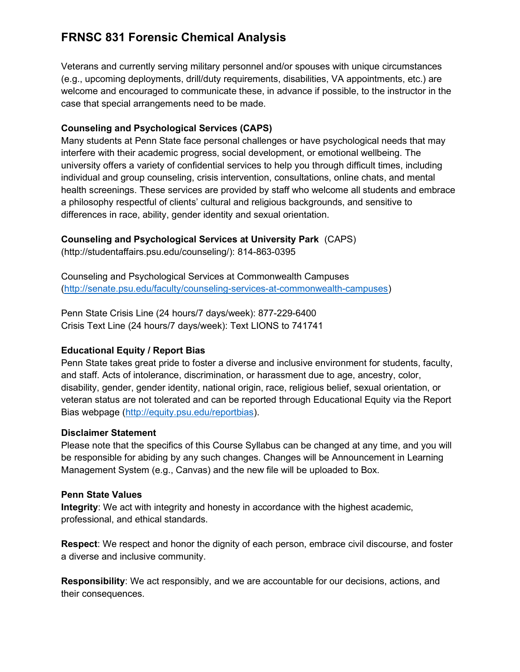Veterans and currently serving military personnel and/or spouses with unique circumstances (e.g., upcoming deployments, drill/duty requirements, disabilities, VA appointments, etc.) are welcome and encouraged to communicate these, in advance if possible, to the instructor in the case that special arrangements need to be made.

## Counseling and Psychological Services (CAPS)

Many students at Penn State face personal challenges or have psychological needs that may interfere with their academic progress, social development, or emotional wellbeing. The university offers a variety of confidential services to help you through difficult times, including individual and group counseling, crisis intervention, consultations, online chats, and mental health screenings. These services are provided by staff who welcome all students and embrace a philosophy respectful of clients' cultural and religious backgrounds, and sensitive to differences in race, ability, gender identity and sexual orientation.

## Counseling and Psychological Services at University Park (CAPS)

(http://studentaffairs.psu.edu/counseling/): 814-863-0395

Counseling and Psychological Services at Commonwealth Campuses (http://senate.psu.edu/faculty/counseling-services-at-commonwealth-campuses)

Penn State Crisis Line (24 hours/7 days/week): 877-229-6400 Crisis Text Line (24 hours/7 days/week): Text LIONS to 741741

## Educational Equity / Report Bias

Penn State takes great pride to foster a diverse and inclusive environment for students, faculty, and staff. Acts of intolerance, discrimination, or harassment due to age, ancestry, color, disability, gender, gender identity, national origin, race, religious belief, sexual orientation, or veteran status are not tolerated and can be reported through Educational Equity via the Report Bias webpage (http://equity.psu.edu/reportbias).

## Disclaimer Statement

Please note that the specifics of this Course Syllabus can be changed at any time, and you will be responsible for abiding by any such changes. Changes will be Announcement in Learning Management System (e.g., Canvas) and the new file will be uploaded to Box.

## Penn State Values

Integrity: We act with integrity and honesty in accordance with the highest academic, professional, and ethical standards.

Respect: We respect and honor the dignity of each person, embrace civil discourse, and foster a diverse and inclusive community.

Responsibility: We act responsibly, and we are accountable for our decisions, actions, and their consequences.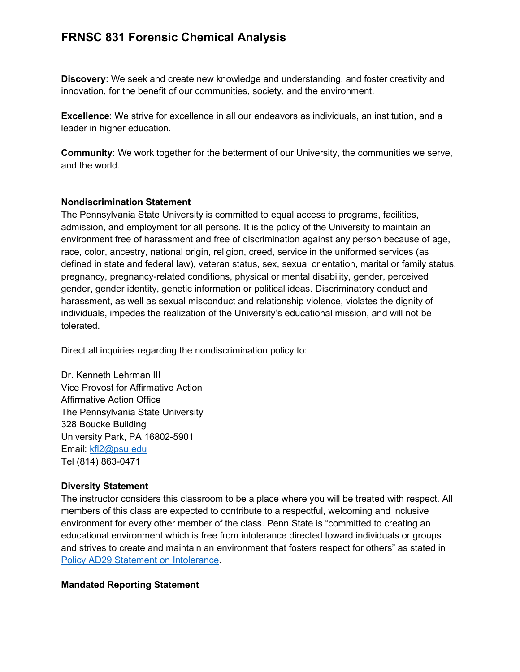Discovery: We seek and create new knowledge and understanding, and foster creativity and innovation, for the benefit of our communities, society, and the environment.

Excellence: We strive for excellence in all our endeavors as individuals, an institution, and a leader in higher education.

Community: We work together for the betterment of our University, the communities we serve, and the world.

#### Nondiscrimination Statement

The Pennsylvania State University is committed to equal access to programs, facilities, admission, and employment for all persons. It is the policy of the University to maintain an environment free of harassment and free of discrimination against any person because of age, race, color, ancestry, national origin, religion, creed, service in the uniformed services (as defined in state and federal law), veteran status, sex, sexual orientation, marital or family status, pregnancy, pregnancy-related conditions, physical or mental disability, gender, perceived gender, gender identity, genetic information or political ideas. Discriminatory conduct and harassment, as well as sexual misconduct and relationship violence, violates the dignity of individuals, impedes the realization of the University's educational mission, and will not be tolerated.

Direct all inquiries regarding the nondiscrimination policy to:

Dr. Kenneth Lehrman III Vice Provost for Affirmative Action Affirmative Action Office The Pennsylvania State University 328 Boucke Building University Park, PA 16802-5901 Email: kfl2@psu.edu Tel (814) 863-0471

#### Diversity Statement

The instructor considers this classroom to be a place where you will be treated with respect. All members of this class are expected to contribute to a respectful, welcoming and inclusive environment for every other member of the class. Penn State is "committed to creating an educational environment which is free from intolerance directed toward individuals or groups and strives to create and maintain an environment that fosters respect for others" as stated in Policy AD29 Statement on Intolerance.

## Mandated Reporting Statement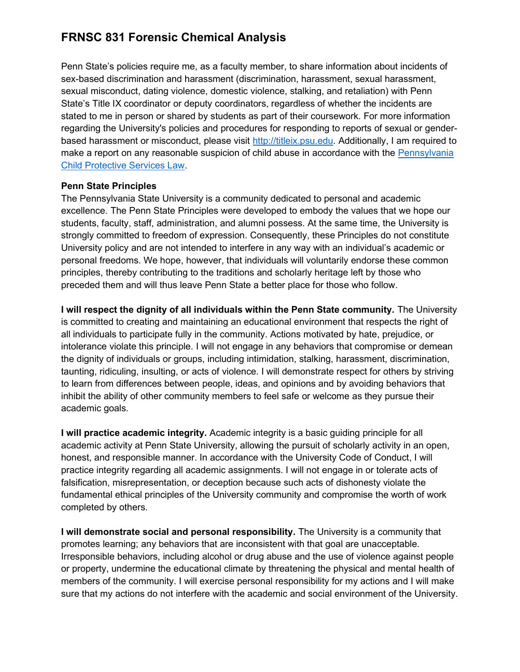Penn State's policies require me, as a faculty member, to share information about incidents of sex-based discrimination and harassment (discrimination, harassment, sexual harassment, sexual misconduct, dating violence, domestic violence, stalking, and retaliation) with Penn State's Title IX coordinator or deputy coordinators, regardless of whether the incidents are stated to me in person or shared by students as part of their coursework. For more information regarding the University's policies and procedures for responding to reports of sexual or genderbased harassment or misconduct, please visit http://titleix.psu.edu. Additionally, I am required to make a report on any reasonable suspicion of child abuse in accordance with the Pennsylvania Child Protective Services Law.

#### Penn State Principles

The Pennsylvania State University is a community dedicated to personal and academic excellence. The Penn State Principles were developed to embody the values that we hope our students, faculty, staff, administration, and alumni possess. At the same time, the University is strongly committed to freedom of expression. Consequently, these Principles do not constitute University policy and are not intended to interfere in any way with an individual's academic or personal freedoms. We hope, however, that individuals will voluntarily endorse these common principles, thereby contributing to the traditions and scholarly heritage left by those who preceded them and will thus leave Penn State a better place for those who follow.

I will respect the dignity of all individuals within the Penn State community. The University is committed to creating and maintaining an educational environment that respects the right of all individuals to participate fully in the community. Actions motivated by hate, prejudice, or intolerance violate this principle. I will not engage in any behaviors that compromise or demean the dignity of individuals or groups, including intimidation, stalking, harassment, discrimination, taunting, ridiculing, insulting, or acts of violence. I will demonstrate respect for others by striving to learn from differences between people, ideas, and opinions and by avoiding behaviors that inhibit the ability of other community members to feel safe or welcome as they pursue their academic goals.

I will practice academic integrity. Academic integrity is a basic guiding principle for all academic activity at Penn State University, allowing the pursuit of scholarly activity in an open, honest, and responsible manner. In accordance with the University Code of Conduct, I will practice integrity regarding all academic assignments. I will not engage in or tolerate acts of falsification, misrepresentation, or deception because such acts of dishonesty violate the fundamental ethical principles of the University community and compromise the worth of work completed by others.

I will demonstrate social and personal responsibility. The University is a community that promotes learning; any behaviors that are inconsistent with that goal are unacceptable. Irresponsible behaviors, including alcohol or drug abuse and the use of violence against people or property, undermine the educational climate by threatening the physical and mental health of members of the community. I will exercise personal responsibility for my actions and I will make sure that my actions do not interfere with the academic and social environment of the University.